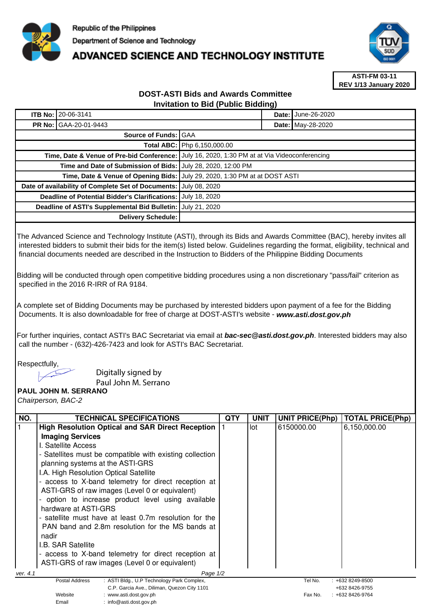

## **ADVANCED SCIENCE AND TECHNOLOGY INSTITUTE**



**ASTI-FM 03-11 REV 1/13 January 2020**

## **DOST-ASTI Bids and Awards Committee Invitation to Bid (Public Bidding)**

| <b>ITB No: 20-06-3141</b>                                    |  |                                                                             |  | <b>Date: June-26-2020</b> |
|--------------------------------------------------------------|--|-----------------------------------------------------------------------------|--|---------------------------|
| <b>PR No: GAA-20-01-9443</b>                                 |  |                                                                             |  | Date: May-28-2020         |
| Source of Funds: GAA                                         |  |                                                                             |  |                           |
|                                                              |  | <b>Total ABC:   Php 6,150,000.00</b>                                        |  |                           |
| Time, Date & Venue of Pre-bid Conference:                    |  | July 16, 2020, 1:30 PM at at Via Videoconferencing                          |  |                           |
| Time and Date of Submission of Bids: July 28, 2020, 12:00 PM |  |                                                                             |  |                           |
|                                                              |  | Time, Date & Venue of Opening Bids: JJuly 29, 2020, 1:30 PM at at DOST ASTI |  |                           |
| Date of availability of Complete Set of Documents:           |  | July 08, 2020                                                               |  |                           |
| Deadline of Potential Bidder's Clarifications:               |  | July 18, 2020                                                               |  |                           |
| Deadline of ASTI's Supplemental Bid Bulletin:                |  | July 21, 2020                                                               |  |                           |
| Delivery Schedule:                                           |  |                                                                             |  |                           |

The Advanced Science and Technology Institute (ASTI), through its Bids and Awards Committee (BAC), hereby invites all interested bidders to submit their bids for the item(s) listed below. Guidelines regarding the format, eligibility, technical and financial documents needed are described in the Instruction to Bidders of the Philippine Bidding Documents

Bidding will be conducted through open competitive bidding procedures using a non discretionary "pass/fail" criterion as specified in the 2016 R-IRR of RA 9184.

A complete set of Bidding Documents may be purchased by interested bidders upon payment of a fee for the Bidding Documents. It is also downloadable for free of charge at DOST-ASTI's website - **www.asti.dost.gov.ph**

For further inquiries, contact ASTI's BAC Secretariat via email at **bac-sec@asti.dost.gov.ph**. Interested bidders may also call the number - (632)-426-7423 and look for ASTI's BAC Secretariat.

Respectfully,

Digitally signed by

Email : info@asti.dost.gov.ph

Paul John M. Serrano

**PAUL JOHN M. SERRANO**  Chairperson, BAC-2

| NO.      | <b>TECHNICAL SPECIFICATIONS</b>                                                  | QTY | <b>UNIT</b> | <b>UNIT PRICE(Php)</b> | <b>TOTAL PRICE(Php)</b>            |
|----------|----------------------------------------------------------------------------------|-----|-------------|------------------------|------------------------------------|
|          | <b>High Resolution Optical and SAR Direct Reception</b>                          |     | lot         | 6150000.00             | 6,150,000.00                       |
|          | <b>Imaging Services</b>                                                          |     |             |                        |                                    |
|          | I. Satellite Access                                                              |     |             |                        |                                    |
|          | - Satellites must be compatible with existing collection                         |     |             |                        |                                    |
|          | planning systems at the ASTI-GRS                                                 |     |             |                        |                                    |
|          | I.A. High Resolution Optical Satellite                                           |     |             |                        |                                    |
|          | - access to X-band telemetry for direct reception at                             |     |             |                        |                                    |
|          | ASTI-GRS of raw images (Level 0 or equivalent)                                   |     |             |                        |                                    |
|          | option to increase product level using available                                 |     |             |                        |                                    |
|          | hardware at ASTI-GRS                                                             |     |             |                        |                                    |
|          | - satellite must have at least 0.7m resolution for the                           |     |             |                        |                                    |
|          | PAN band and 2.8m resolution for the MS bands at                                 |     |             |                        |                                    |
|          | nadir                                                                            |     |             |                        |                                    |
|          | <b>I.B. SAR Satellite</b>                                                        |     |             |                        |                                    |
|          | - access to X-band telemetry for direct reception at                             |     |             |                        |                                    |
|          | ASTI-GRS of raw images (Level 0 or equivalent)                                   |     |             |                        |                                    |
| ver. 4.1 | Page $1/2$                                                                       |     |             |                        |                                    |
|          | : ASTI Bldg., U.P Technology Park Complex,<br>Postal Address                     |     |             | Tel No.                | $: +6328249 - 8500$                |
|          | C.P. Garcia Ave., Diliman, Quezon City 1101<br>Website<br>: www.asti.dost.gov.ph |     |             | Fax No.                | +632 8426-9755<br>: +632 8426-9764 |